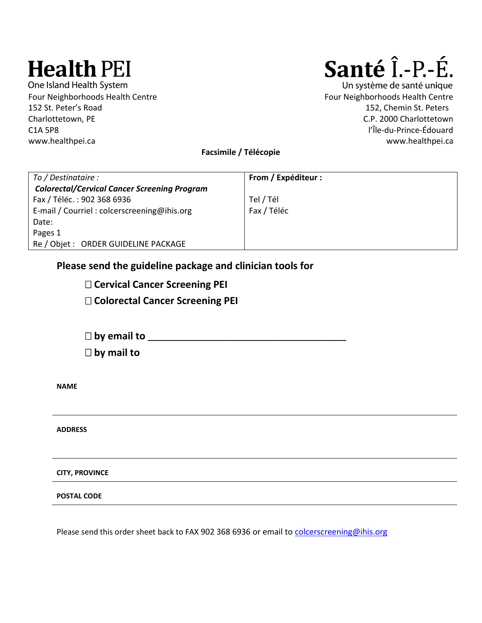# **Health PEI**

One Island Health System Four Neighborhoods Health Centre **Four Neighborhoods Health Centre** Four Neighborhoods Health Centre 152 St. Peter's Road 152, Chemin St. Peters Charlottetown, PE C.P. 2000 Charlottetown C1A 5P8 l'Île-du-Prince-Édouard www.healthpei.ca www.healthpei.ca

# Santé Î.-P.-É.

Un système de santé unique

**Facsimile / Télécopie**

| To / Destinataire :                                 | From / Expéditeur : |
|-----------------------------------------------------|---------------------|
| <b>Colorectal/Cervical Cancer Screening Program</b> |                     |
| Fax / Téléc.: 902 368 6936                          | Tel / Tél           |
| E-mail / Courriel : colcerscreening@ihis.org        | Fax / Téléc         |
| Date:                                               |                     |
| Pages 1                                             |                     |
| Re / Objet : ORDER GUIDELINE PACKAGE                |                     |

# **Please send the guideline package and clinician tools for**

 **Cervical Cancer Screening PEI Colorectal Cancer Screening PEI**

 **by email to \_\_\_\_\_\_\_\_\_\_\_\_\_\_\_\_\_\_\_\_\_\_\_\_\_\_\_\_\_\_\_\_\_\_\_\_\_\_\_\_\_\_\_\_\_\_ by mail to**

**NAME**

**ADDRESS**

**CITY, PROVINCE**

**POSTAL CODE**

Please send this order sheet back to FAX 902 368 6936 or email to [colcerscreening@ihis.org](mailto:colcerscreening@ihis.org)